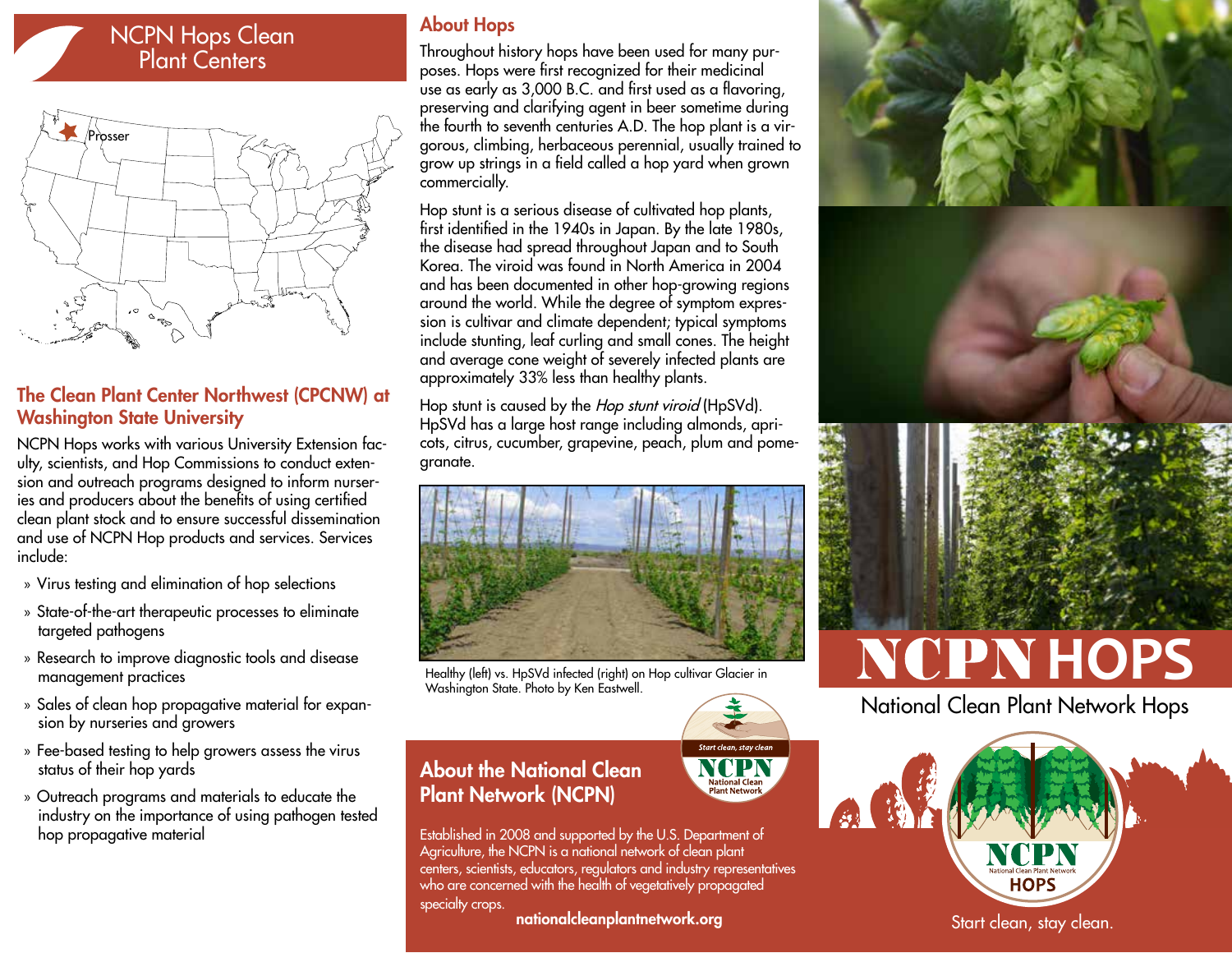# NCPN Hops Clean Plant Centers



## The Clean Plant Center Northwest (CPCNW) at Washington State University

NCPN Hops works with various University Extension faculty, scientists, and Hop Commissions to conduct extension and outreach programs designed to inform nurseries and producers about the benefits of using certified clean plant stock and to ensure successful dissemination and use of NCPN Hop products and services. Services include:

- » Virus testing and elimination of hop selections
- » State-of-the-art therapeutic processes to eliminate targeted pathogens
- » Research to improve diagnostic tools and disease management practices
- » Sales of clean hop propagative material for expansion by nurseries and growers
- » Fee-based testing to help growers assess the virus status of their hop yards
- » Outreach programs and materials to educate the industry on the importance of using pathogen tested hop propagative material

#### About Hops

Throughout history hops have been used for many purposes. Hops were first recognized for their medicinal use as early as 3,000 B.C. and first used as a flavoring, preserving and clarifying agent in beer sometime during the fourth to seventh centuries A.D. The hop plant is a virgorous, climbing, herbaceous perennial, usually trained to grow up strings in a field called a hop yard when grown commercially.

Hop stunt is a serious disease of cultivated hop plants, first identified in the 1940s in Japan. By the late 1980s, the disease had spread throughout Japan and to South Korea. The viroid was found in North America in 2004 and has been documented in other hop-growing regions around the world. While the degree of symptom expression is cultivar and climate dependent; typical symptoms include stunting, leaf curling and small cones. The height and average cone weight of severely infected plants are approximately 33% less than healthy plants.

Hop stunt is caused by the *Hop stunt viroid* (HpSVd). HpSVd has a large host range including almonds, apricots, citrus, cucumber, grapevine, peach, plum and pomegranate.



Healthy (left) vs. HpSVd infected (right) on Hop cultivar Glacier in Washington State. Photo by Ken Eastwell.

## About the National Clean Plant Network (NCPN)

Established in 2008 and supported by the U.S. Department of Agriculture, the NCPN is a national network of clean plant centers, scientists, educators, regulators and industry representatives who are concerned with the health of vegetatively propagated specialty crops.

Start clean, stay clean

National Clea<mark>r</mark><br>Plant Network

#### nationalcleanplantnetwork.org







National Clean Plant Network Hops



Start clean, stay clean.